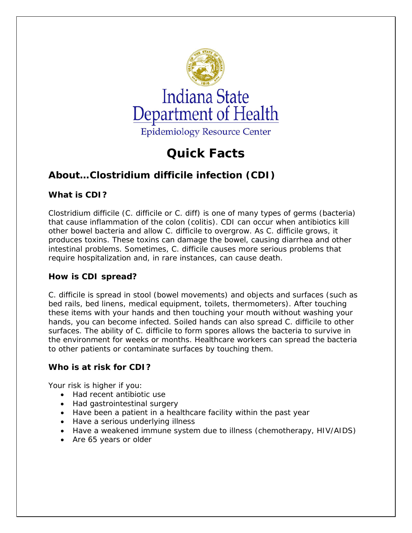

# **Quick Facts**

# **About…***Clostridium difficile* **infection (CDI)**

# **What is CDI?**

*Clostridium difficile* (*C. difficile or C. diff*) is one of many types of germs (bacteria) that cause inflammation of the colon (colitis). CDI can occur when antibiotics kill other bowel bacteria and allow *C. difficile* to overgrow. As *C. difficile* grows, it produces toxins. These toxins can damage the bowel, causing diarrhea and other intestinal problems. Sometimes, *C. difficile* causes more serious problems that require hospitalization and, in rare instances, can cause death.

# **How is CDI spread?**

*C. difficile* is spread in stool (bowel movements) and objects and surfaces (such as bed rails, bed linens, medical equipment, toilets, thermometers). After touching these items with your hands and then touching your mouth without washing your hands, you can become infected. Soiled hands can also spread *C. difficile* to other surfaces. The ability of *C. difficile* to form spores allows the bacteria to survive in the environment for weeks or months. Healthcare workers can spread the bacteria to other patients or contaminate surfaces by touching them.

# **Who is at risk for CDI?**

Your risk is higher if you:

- Had recent antibiotic use
- Had gastrointestinal surgery
- Have been a patient in a healthcare facility within the past year
- Have a serious underlying illness
- Have a weakened immune system due to illness (chemotherapy, HIV/AIDS)
- Are 65 years or older